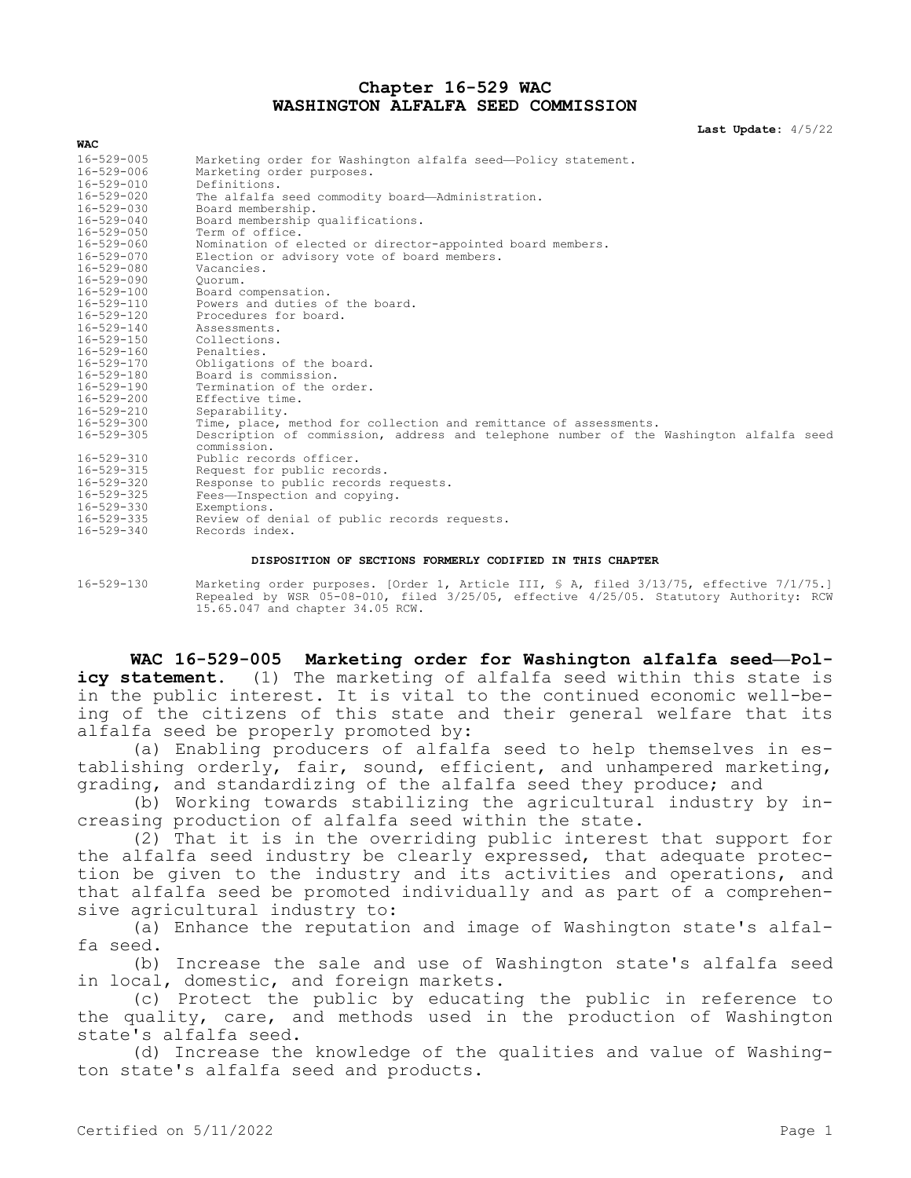## **Chapter 16-529 WAC WASHINGTON ALFALFA SEED COMMISSION**

**Last Update:** 4/5/22

| 16-529-005       | Marketing order for Washington alfalfa seed-Policy statement.                                         |
|------------------|-------------------------------------------------------------------------------------------------------|
| 16-529-006       | Marketing order purposes.                                                                             |
| 16-529-010       | Definitions.                                                                                          |
| 16-529-020       | The alfalfa seed commodity board-Administration.                                                      |
| $16 - 529 - 030$ | Board membership.                                                                                     |
| 16-529-040       | Board membership qualifications.                                                                      |
| 16-529-050       | Term of office.                                                                                       |
| 16-529-060       | Nomination of elected or director-appointed board members.                                            |
| 16-529-070       | Election or advisory vote of board members.                                                           |
| 16-529-080       | Vacancies.                                                                                            |
| 16-529-090       | Ouorum.                                                                                               |
| 16-529-100       | Board compensation.                                                                                   |
| 16-529-110       | Powers and duties of the board.                                                                       |
| 16-529-120       | Procedures for board.                                                                                 |
| 16-529-140       | Assessments.                                                                                          |
| $16 - 529 - 150$ | Collections.                                                                                          |
| 16-529-160       | Penalties.                                                                                            |
| 16-529-170       | Obligations of the board.                                                                             |
| 16-529-180       | Board is commission.                                                                                  |
| 16-529-190       | Termination of the order.                                                                             |
| 16-529-200       | Effective time.                                                                                       |
| 16-529-210       | Separability.                                                                                         |
| 16-529-300       | Time, place, method for collection and remittance of assessments.                                     |
| $16 - 529 - 305$ | Description of commission, address and telephone number of the Washington alfalfa seed<br>commission. |
| 16-529-310       | Public records officer.                                                                               |
| 16-529-315       | Request for public records.                                                                           |
| 16-529-320       | Response to public records requests.                                                                  |
| 16-529-325       | Fees-Inspection and copying.                                                                          |
| 16-529-330       | Exemptions.                                                                                           |
| 16-529-335       | Review of denial of public records requests.                                                          |
| 16-529-340       | Records index.                                                                                        |
|                  |                                                                                                       |

## **DISPOSITION OF SECTIONS FORMERLY CODIFIED IN THIS CHAPTER**

16-529-130 Marketing order purposes. [Order 1, Article III, § A, filed 3/13/75, effective 7/1/75.] Repealed by WSR 05-08-010, filed 3/25/05, effective 4/25/05. Statutory Authority: RCW 15.65.047 and chapter 34.05 RCW.

**WAC 16-529-005 Marketing order for Washington alfalfa seed—Policy statement.** (1) The marketing of alfalfa seed within this state is in the public interest. It is vital to the continued economic well-being of the citizens of this state and their general welfare that its alfalfa seed be properly promoted by:

(a) Enabling producers of alfalfa seed to help themselves in establishing orderly, fair, sound, efficient, and unhampered marketing, grading, and standardizing of the alfalfa seed they produce; and

(b) Working towards stabilizing the agricultural industry by increasing production of alfalfa seed within the state.

(2) That it is in the overriding public interest that support for the alfalfa seed industry be clearly expressed, that adequate protection be given to the industry and its activities and operations, and that alfalfa seed be promoted individually and as part of a comprehensive agricultural industry to:

(a) Enhance the reputation and image of Washington state's alfalfa seed.

(b) Increase the sale and use of Washington state's alfalfa seed in local, domestic, and foreign markets.

(c) Protect the public by educating the public in reference to the quality, care, and methods used in the production of Washington state's alfalfa seed.

(d) Increase the knowledge of the qualities and value of Washington state's alfalfa seed and products.

**WAC**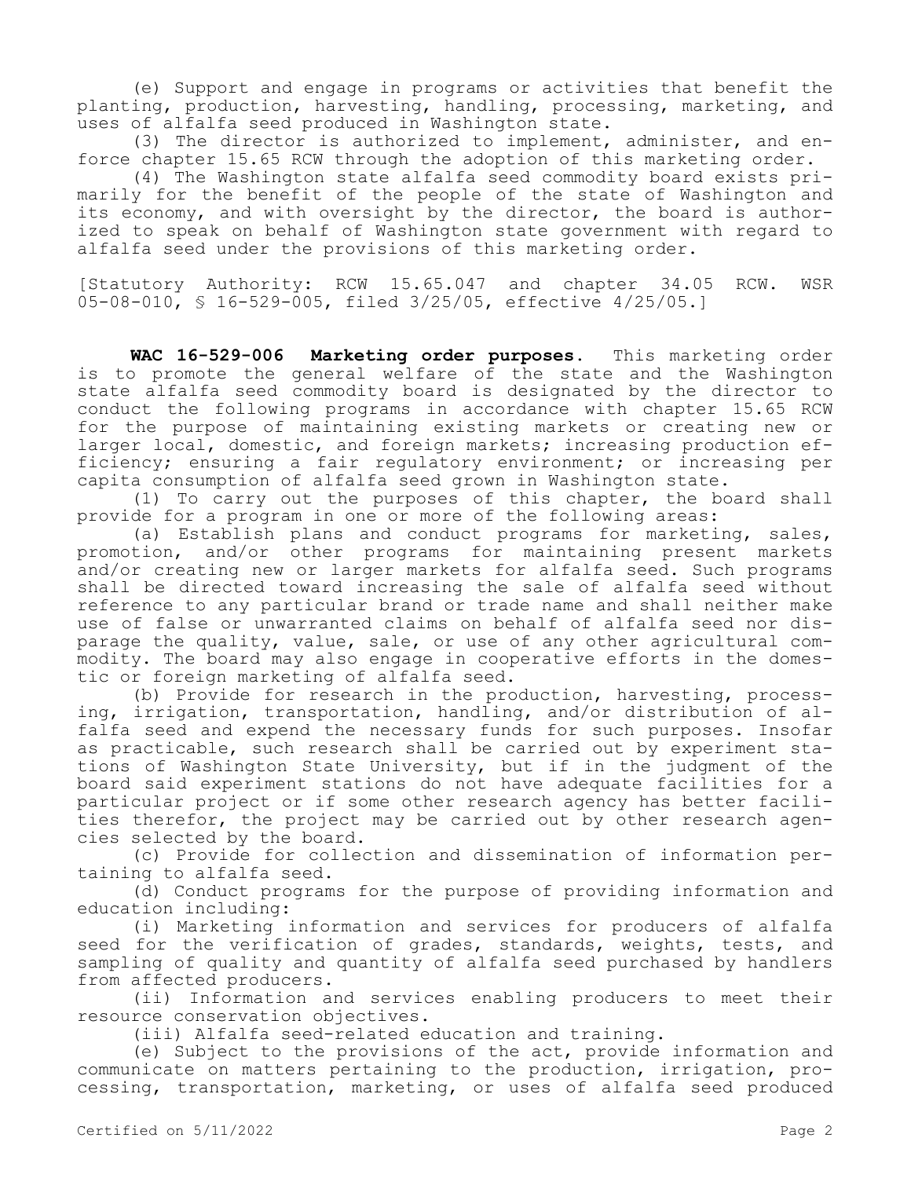(e) Support and engage in programs or activities that benefit the planting, production, harvesting, handling, processing, marketing, and uses of alfalfa seed produced in Washington state.

(3) The director is authorized to implement, administer, and enforce chapter 15.65 RCW through the adoption of this marketing order.

(4) The Washington state alfalfa seed commodity board exists primarily for the benefit of the people of the state of Washington and its economy, and with oversight by the director, the board is authorized to speak on behalf of Washington state government with regard to alfalfa seed under the provisions of this marketing order.

[Statutory Authority: RCW 15.65.047 and chapter 34.05 RCW. WSR 05-08-010, § 16-529-005, filed 3/25/05, effective 4/25/05.]

**WAC 16-529-006 Marketing order purposes.** This marketing order is to promote the general welfare of the state and the Washington state alfalfa seed commodity board is designated by the director to conduct the following programs in accordance with chapter 15.65 RCW for the purpose of maintaining existing markets or creating new or larger local, domestic, and foreign markets; increasing production efficiency; ensuring a fair regulatory environment; or increasing per capita consumption of alfalfa seed grown in Washington state.

(1) To carry out the purposes of this chapter, the board shall provide for a program in one or more of the following areas:

(a) Establish plans and conduct programs for marketing, sales, promotion, and/or other programs for maintaining present markets and/or creating new or larger markets for alfalfa seed. Such programs shall be directed toward increasing the sale of alfalfa seed without reference to any particular brand or trade name and shall neither make use of false or unwarranted claims on behalf of alfalfa seed nor disparage the quality, value, sale, or use of any other agricultural commodity. The board may also engage in cooperative efforts in the domestic or foreign marketing of alfalfa seed.

(b) Provide for research in the production, harvesting, processing, irrigation, transportation, handling, and/or distribution of alfalfa seed and expend the necessary funds for such purposes. Insofar as practicable, such research shall be carried out by experiment stations of Washington State University, but if in the judgment of the board said experiment stations do not have adequate facilities for a particular project or if some other research agency has better facilities therefor, the project may be carried out by other research agencies selected by the board.

(c) Provide for collection and dissemination of information pertaining to alfalfa seed.

(d) Conduct programs for the purpose of providing information and education including:

(i) Marketing information and services for producers of alfalfa seed for the verification of grades, standards, weights, tests, and sampling of quality and quantity of alfalfa seed purchased by handlers from affected producers.

(ii) Information and services enabling producers to meet their resource conservation objectives.

(iii) Alfalfa seed-related education and training.

(e) Subject to the provisions of the act, provide information and communicate on matters pertaining to the production, irrigation, processing, transportation, marketing, or uses of alfalfa seed produced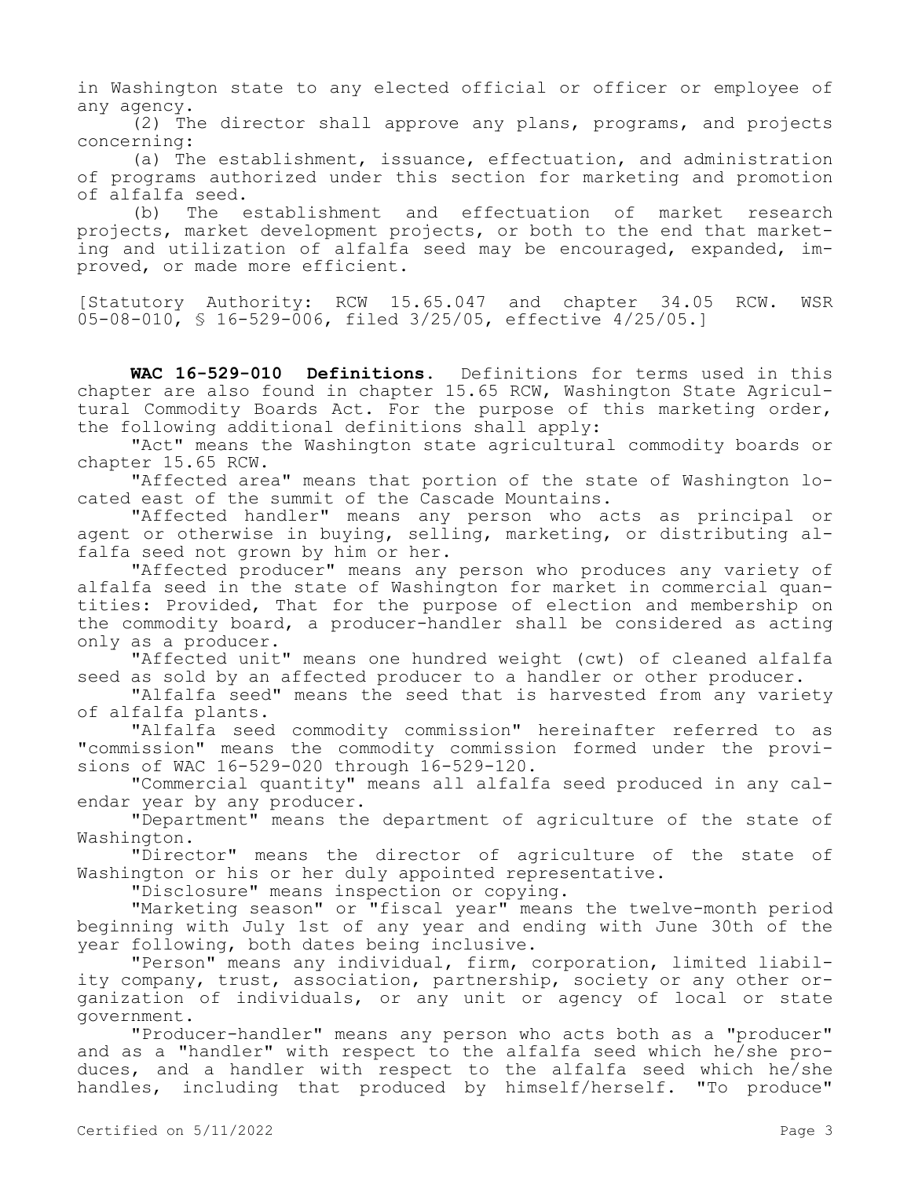in Washington state to any elected official or officer or employee of any agency.

(2) The director shall approve any plans, programs, and projects concerning:

(a) The establishment, issuance, effectuation, and administration of programs authorized under this section for marketing and promotion of alfalfa seed.

(b) The establishment and effectuation of market research projects, market development projects, or both to the end that marketing and utilization of alfalfa seed may be encouraged, expanded, improved, or made more efficient.

[Statutory Authority: RCW 15.65.047 and chapter 34.05 RCW. WSR 05-08-010, § 16-529-006, filed 3/25/05, effective 4/25/05.]

**WAC 16-529-010 Definitions.** Definitions for terms used in this chapter are also found in chapter 15.65 RCW, Washington State Agricultural Commodity Boards Act. For the purpose of this marketing order, the following additional definitions shall apply:

"Act" means the Washington state agricultural commodity boards or chapter 15.65 RCW.

"Affected area" means that portion of the state of Washington located east of the summit of the Cascade Mountains.

"Affected handler" means any person who acts as principal or agent or otherwise in buying, selling, marketing, or distributing alfalfa seed not grown by him or her.

"Affected producer" means any person who produces any variety of alfalfa seed in the state of Washington for market in commercial quantities: Provided, That for the purpose of election and membership on the commodity board, a producer-handler shall be considered as acting only as a producer.

"Affected unit" means one hundred weight (cwt) of cleaned alfalfa seed as sold by an affected producer to a handler or other producer.

"Alfalfa seed" means the seed that is harvested from any variety of alfalfa plants.

"Alfalfa seed commodity commission" hereinafter referred to as "commission" means the commodity commission formed under the provisions of WAC 16-529-020 through 16-529-120.

"Commercial quantity" means all alfalfa seed produced in any calendar year by any producer.

"Department" means the department of agriculture of the state of Washington.

"Director" means the director of agriculture of the state of Washington or his or her duly appointed representative.

"Disclosure" means inspection or copying.

"Marketing season" or "fiscal year" means the twelve-month period beginning with July 1st of any year and ending with June 30th of the year following, both dates being inclusive.

"Person" means any individual, firm, corporation, limited liability company, trust, association, partnership, society or any other organization of individuals, or any unit or agency of local or state government.

"Producer-handler" means any person who acts both as a "producer" and as a "handler" with respect to the alfalfa seed which he/she produces, and a handler with respect to the alfalfa seed which he/she handles, including that produced by himself/herself. "To produce"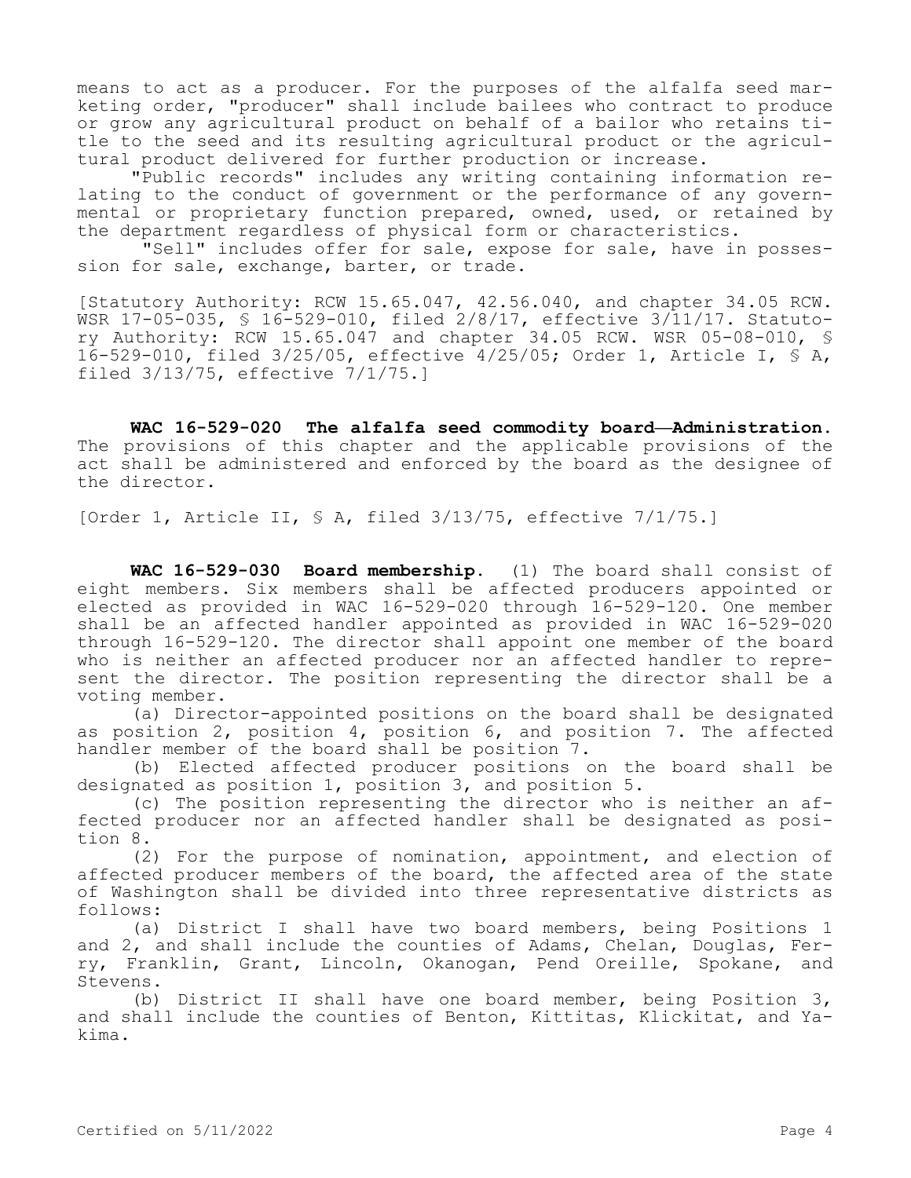means to act as a producer. For the purposes of the alfalfa seed marketing order, "producer" shall include bailees who contract to produce or grow any agricultural product on behalf of a bailor who retains title to the seed and its resulting agricultural product or the agricultural product delivered for further production or increase.

"Public records" includes any writing containing information relating to the conduct of government or the performance of any governmental or proprietary function prepared, owned, used, or retained by the department regardless of physical form or characteristics.

 "Sell" includes offer for sale, expose for sale, have in possession for sale, exchange, barter, or trade.

[Statutory Authority: RCW 15.65.047, 42.56.040, and chapter 34.05 RCW. WSR 17-05-035, § 16-529-010, filed 2/8/17, effective 3/11/17. Statutory Authority: RCW 15.65.047 and chapter 34.05 RCW. WSR 05-08-010, § 16-529-010, filed 3/25/05, effective 4/25/05; Order 1, Article I, § A, filed 3/13/75, effective 7/1/75.]

**WAC 16-529-020 The alfalfa seed commodity board—Administration.**  The provisions of this chapter and the applicable provisions of the act shall be administered and enforced by the board as the designee of the director.

[Order 1, Article II, § A, filed 3/13/75, effective 7/1/75.]

**WAC 16-529-030 Board membership.** (1) The board shall consist of eight members. Six members shall be affected producers appointed or elected as provided in WAC 16-529-020 through 16-529-120. One member shall be an affected handler appointed as provided in WAC 16-529-020 through 16-529-120. The director shall appoint one member of the board who is neither an affected producer nor an affected handler to represent the director. The position representing the director shall be a voting member.

(a) Director-appointed positions on the board shall be designated as position 2, position 4, position 6, and position 7. The affected handler member of the board shall be position 7.

(b) Elected affected producer positions on the board shall be designated as position 1, position 3, and position 5.

(c) The position representing the director who is neither an affected producer nor an affected handler shall be designated as position 8.

(2) For the purpose of nomination, appointment, and election of affected producer members of the board, the affected area of the state of Washington shall be divided into three representative districts as follows:

(a) District I shall have two board members, being Positions 1 and 2, and shall include the counties of Adams, Chelan, Douglas, Ferry, Franklin, Grant, Lincoln, Okanogan, Pend Oreille, Spokane, and Stevens.

(b) District II shall have one board member, being Position 3, and shall include the counties of Benton, Kittitas, Klickitat, and Yakima.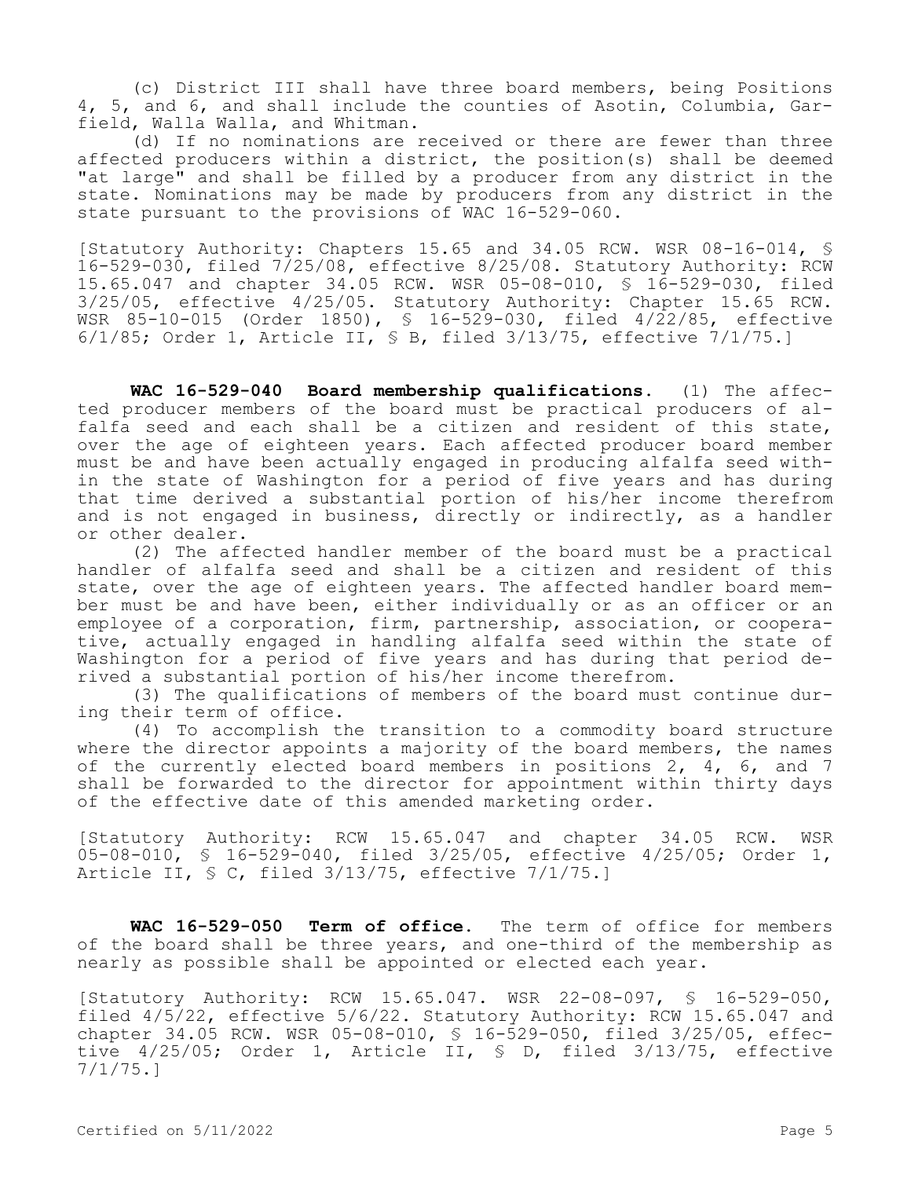(c) District III shall have three board members, being Positions 4, 5, and 6, and shall include the counties of Asotin, Columbia, Garfield, Walla Walla, and Whitman.

(d) If no nominations are received or there are fewer than three affected producers within a district, the position(s) shall be deemed "at large" and shall be filled by a producer from any district in the state. Nominations may be made by producers from any district in the state pursuant to the provisions of WAC 16-529-060.

[Statutory Authority: Chapters 15.65 and 34.05 RCW. WSR 08-16-014, § 16-529-030, filed 7/25/08, effective 8/25/08. Statutory Authority: RCW 15.65.047 and chapter 34.05 RCW. WSR 05-08-010, § 16-529-030, filed 3/25/05, effective 4/25/05. Statutory Authority: Chapter 15.65 RCW. WSR 85-10-015 (Order 1850), \$ 16-529-030, filed 4/22/85, effective 6/1/85; Order 1, Article II, § B, filed 3/13/75, effective 7/1/75.]

**WAC 16-529-040 Board membership qualifications.** (1) The affected producer members of the board must be practical producers of alfalfa seed and each shall be a citizen and resident of this state, over the age of eighteen years. Each affected producer board member must be and have been actually engaged in producing alfalfa seed within the state of Washington for a period of five years and has during that time derived a substantial portion of his/her income therefrom and is not engaged in business, directly or indirectly, as a handler or other dealer.

(2) The affected handler member of the board must be a practical handler of alfalfa seed and shall be a citizen and resident of this state, over the age of eighteen years. The affected handler board member must be and have been, either individually or as an officer or an employee of a corporation, firm, partnership, association, or cooperative, actually engaged in handling alfalfa seed within the state of Washington for a period of five years and has during that period derived a substantial portion of his/her income therefrom.

(3) The qualifications of members of the board must continue during their term of office.

(4) To accomplish the transition to a commodity board structure where the director appoints a majority of the board members, the names of the currently elected board members in positions 2, 4, 6, and 7 shall be forwarded to the director for appointment within thirty days of the effective date of this amended marketing order.

[Statutory Authority: RCW 15.65.047 and chapter 34.05 RCW. WSR 05-08-010, § 16-529-040, filed 3/25/05, effective 4/25/05; Order 1, Article II, § C, filed 3/13/75, effective 7/1/75.]

**WAC 16-529-050 Term of office.** The term of office for members of the board shall be three years, and one-third of the membership as nearly as possible shall be appointed or elected each year.

[Statutory Authority: RCW 15.65.047. WSR 22-08-097, § 16-529-050, filed 4/5/22, effective 5/6/22. Statutory Authority: RCW 15.65.047 and chapter 34.05 RCW. WSR 05-08-010, § 16-529-050, filed 3/25/05, effective 4/25/05; Order 1, Article II, § D, filed 3/13/75, effective 7/1/75.]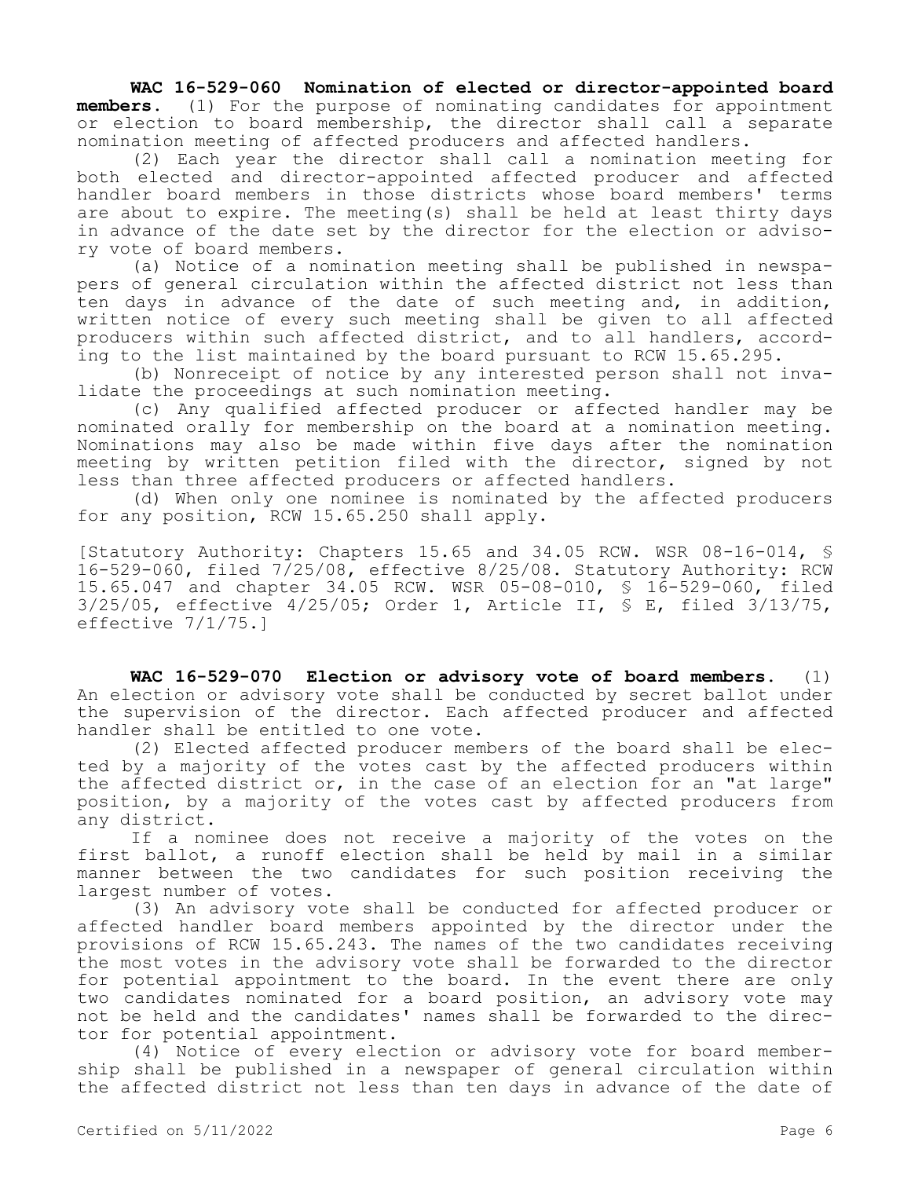**WAC 16-529-060 Nomination of elected or director-appointed board members.** (1) For the purpose of nominating candidates for appointment or election to board membership, the director shall call a separate nomination meeting of affected producers and affected handlers.

(2) Each year the director shall call a nomination meeting for both elected and director-appointed affected producer and affected handler board members in those districts whose board members' terms are about to expire. The meeting(s) shall be held at least thirty days in advance of the date set by the director for the election or advisory vote of board members.

(a) Notice of a nomination meeting shall be published in newspapers of general circulation within the affected district not less than ten days in advance of the date of such meeting and, in addition, written notice of every such meeting shall be given to all affected producers within such affected district, and to all handlers, according to the list maintained by the board pursuant to RCW 15.65.295.

(b) Nonreceipt of notice by any interested person shall not invalidate the proceedings at such nomination meeting.

(c) Any qualified affected producer or affected handler may be nominated orally for membership on the board at a nomination meeting. Nominations may also be made within five days after the nomination meeting by written petition filed with the director, signed by not less than three affected producers or affected handlers.

(d) When only one nominee is nominated by the affected producers for any position, RCW 15.65.250 shall apply.

[Statutory Authority: Chapters 15.65 and 34.05 RCW. WSR 08-16-014, § 16-529-060, filed 7/25/08, effective 8/25/08. Statutory Authority: RCW 15.65.047 and chapter 34.05 RCW. WSR 05-08-010, § 16-529-060, filed 3/25/05, effective 4/25/05; Order 1, Article II, § E, filed 3/13/75, effective 7/1/75.]

**WAC 16-529-070 Election or advisory vote of board members.** (1) An election or advisory vote shall be conducted by secret ballot under the supervision of the director. Each affected producer and affected handler shall be entitled to one vote.

(2) Elected affected producer members of the board shall be elected by a majority of the votes cast by the affected producers within the affected district or, in the case of an election for an "at large" position, by a majority of the votes cast by affected producers from any district.

If a nominee does not receive a majority of the votes on the first ballot, a runoff election shall be held by mail in a similar manner between the two candidates for such position receiving the largest number of votes.

(3) An advisory vote shall be conducted for affected producer or affected handler board members appointed by the director under the provisions of RCW 15.65.243. The names of the two candidates receiving the most votes in the advisory vote shall be forwarded to the director for potential appointment to the board. In the event there are only two candidates nominated for a board position, an advisory vote may not be held and the candidates' names shall be forwarded to the director for potential appointment.

(4) Notice of every election or advisory vote for board membership shall be published in a newspaper of general circulation within the affected district not less than ten days in advance of the date of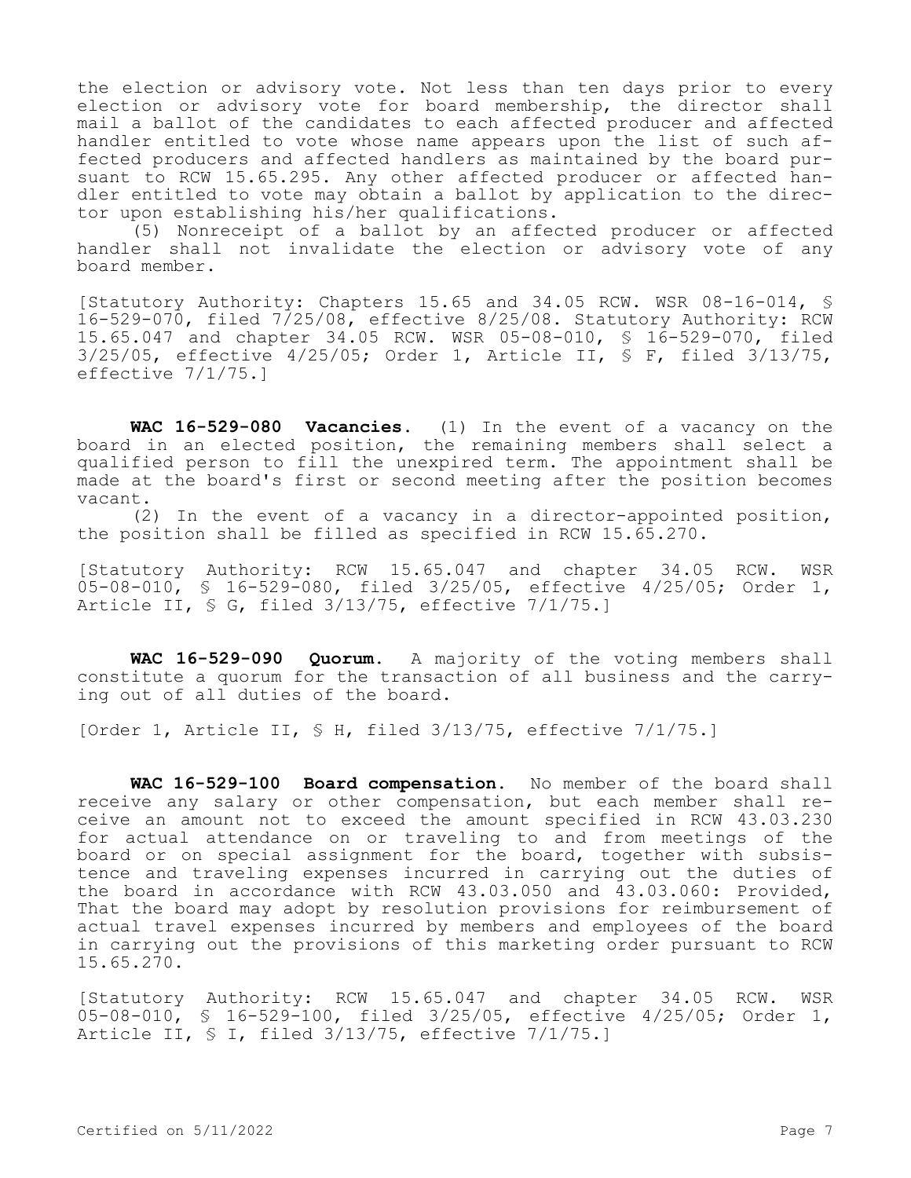the election or advisory vote. Not less than ten days prior to every election or advisory vote for board membership, the director shall mail a ballot of the candidates to each affected producer and affected handler entitled to vote whose name appears upon the list of such affected producers and affected handlers as maintained by the board pursuant to RCW 15.65.295. Any other affected producer or affected handler entitled to vote may obtain a ballot by application to the director upon establishing his/her qualifications.

(5) Nonreceipt of a ballot by an affected producer or affected handler shall not invalidate the election or advisory vote of any board member.

[Statutory Authority: Chapters 15.65 and 34.05 RCW. WSR 08-16-014, § 16-529-070, filed 7/25/08, effective 8/25/08. Statutory Authority: RCW 15.65.047 and chapter 34.05 RCW. WSR 05-08-010, § 16-529-070, filed 3/25/05, effective 4/25/05; Order 1, Article II, § F, filed 3/13/75, effective 7/1/75.]

**WAC 16-529-080 Vacancies.** (1) In the event of a vacancy on the board in an elected position, the remaining members shall select a qualified person to fill the unexpired term. The appointment shall be made at the board's first or second meeting after the position becomes vacant.

(2) In the event of a vacancy in a director-appointed position, the position shall be filled as specified in RCW 15.65.270.

[Statutory Authority: RCW 15.65.047 and chapter 34.05 RCW. WSR 05-08-010, § 16-529-080, filed 3/25/05, effective 4/25/05; Order 1, Article II, § G, filed 3/13/75, effective 7/1/75.]

**WAC 16-529-090 Quorum.** A majority of the voting members shall constitute a quorum for the transaction of all business and the carrying out of all duties of the board.

[Order 1, Article II, § H, filed 3/13/75, effective 7/1/75.]

**WAC 16-529-100 Board compensation.** No member of the board shall receive any salary or other compensation, but each member shall receive an amount not to exceed the amount specified in RCW 43.03.230 for actual attendance on or traveling to and from meetings of the board or on special assignment for the board, together with subsistence and traveling expenses incurred in carrying out the duties of the board in accordance with RCW 43.03.050 and 43.03.060: Provided, That the board may adopt by resolution provisions for reimbursement of actual travel expenses incurred by members and employees of the board in carrying out the provisions of this marketing order pursuant to RCW 15.65.270.

[Statutory Authority: RCW 15.65.047 and chapter 34.05 RCW. WSR 05-08-010, § 16-529-100, filed 3/25/05, effective 4/25/05; Order 1, Article II, § I, filed 3/13/75, effective 7/1/75.]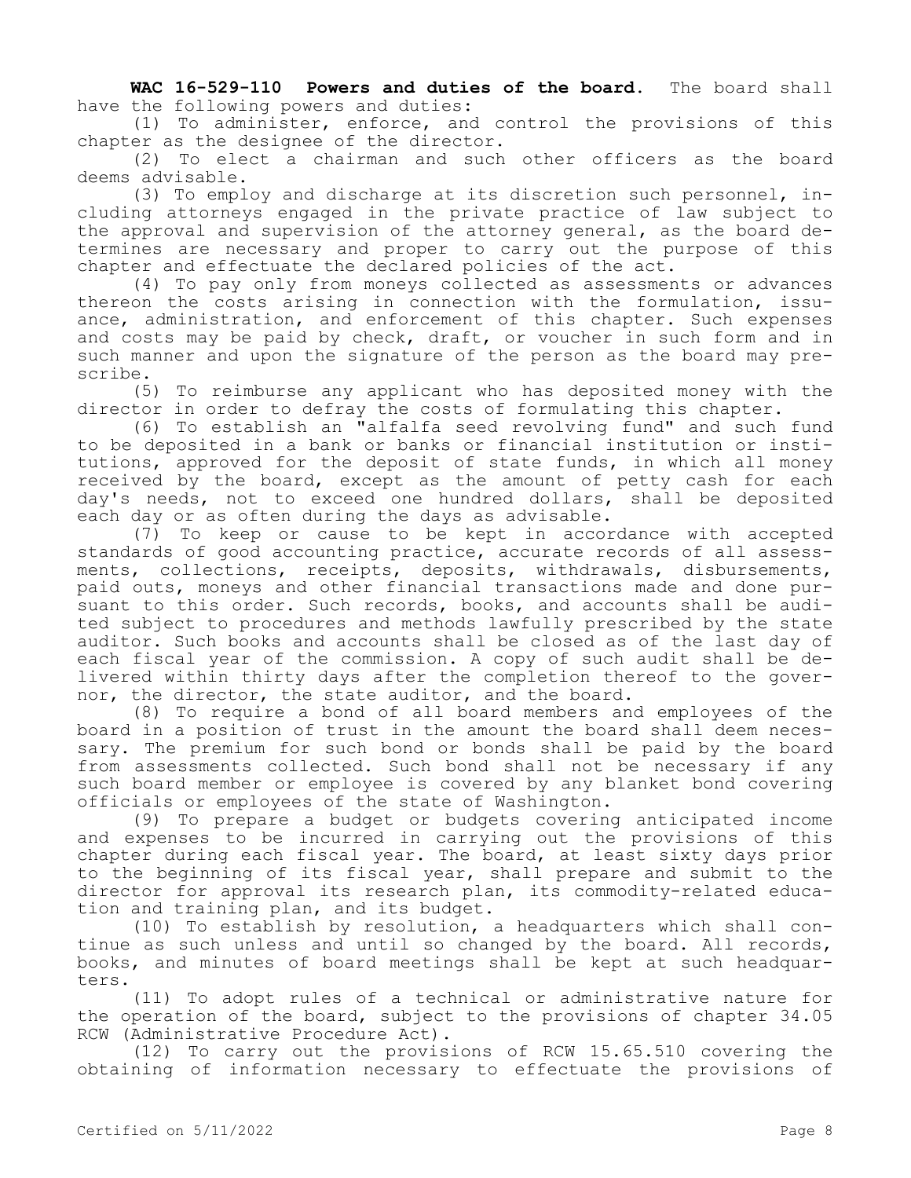**WAC 16-529-110 Powers and duties of the board.** The board shall have the following powers and duties:

(1) To administer, enforce, and control the provisions of this chapter as the designee of the director.

(2) To elect a chairman and such other officers as the board deems advisable.

(3) To employ and discharge at its discretion such personnel, including attorneys engaged in the private practice of law subject to the approval and supervision of the attorney general, as the board determines are necessary and proper to carry out the purpose of this chapter and effectuate the declared policies of the act.

(4) To pay only from moneys collected as assessments or advances thereon the costs arising in connection with the formulation, issuance, administration, and enforcement of this chapter. Such expenses and costs may be paid by check, draft, or voucher in such form and in such manner and upon the signature of the person as the board may prescribe.

(5) To reimburse any applicant who has deposited money with the director in order to defray the costs of formulating this chapter.

(6) To establish an "alfalfa seed revolving fund" and such fund to be deposited in a bank or banks or financial institution or institutions, approved for the deposit of state funds, in which all money received by the board, except as the amount of petty cash for each day's needs, not to exceed one hundred dollars, shall be deposited each day or as often during the days as advisable.

(7) To keep or cause to be kept in accordance with accepted standards of good accounting practice, accurate records of all assessments, collections, receipts, deposits, withdrawals, disbursements, paid outs, moneys and other financial transactions made and done pursuant to this order. Such records, books, and accounts shall be audited subject to procedures and methods lawfully prescribed by the state auditor. Such books and accounts shall be closed as of the last day of each fiscal year of the commission. A copy of such audit shall be delivered within thirty days after the completion thereof to the governor, the director, the state auditor, and the board.

(8) To require a bond of all board members and employees of the board in a position of trust in the amount the board shall deem necessary. The premium for such bond or bonds shall be paid by the board from assessments collected. Such bond shall not be necessary if any such board member or employee is covered by any blanket bond covering officials or employees of the state of Washington.

(9) To prepare a budget or budgets covering anticipated income and expenses to be incurred in carrying out the provisions of this chapter during each fiscal year. The board, at least sixty days prior to the beginning of its fiscal year, shall prepare and submit to the director for approval its research plan, its commodity-related education and training plan, and its budget.

(10) To establish by resolution, a headquarters which shall continue as such unless and until so changed by the board. All records, books, and minutes of board meetings shall be kept at such headquarters.

(11) To adopt rules of a technical or administrative nature for the operation of the board, subject to the provisions of chapter 34.05 RCW (Administrative Procedure Act).

(12) To carry out the provisions of RCW 15.65.510 covering the obtaining of information necessary to effectuate the provisions of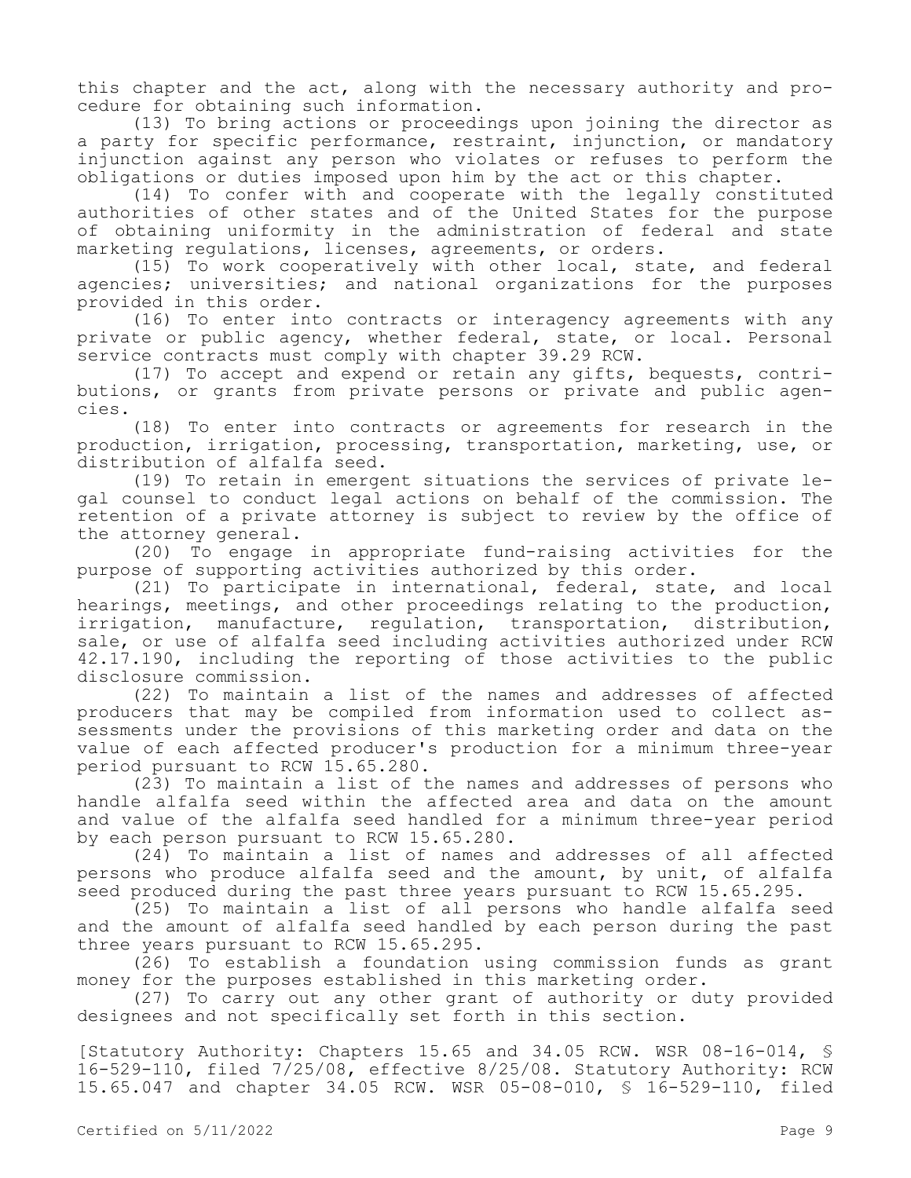this chapter and the act, along with the necessary authority and procedure for obtaining such information.

(13) To bring actions or proceedings upon joining the director as a party for specific performance, restraint, injunction, or mandatory injunction against any person who violates or refuses to perform the obligations or duties imposed upon him by the act or this chapter.

(14) To confer with and cooperate with the legally constituted authorities of other states and of the United States for the purpose of obtaining uniformity in the administration of federal and state marketing regulations, licenses, agreements, or orders.

(15) To work cooperatively with other local, state, and federal agencies; universities; and national organizations for the purposes provided in this order.

(16) To enter into contracts or interagency agreements with any private or public agency, whether federal, state, or local. Personal service contracts must comply with chapter 39.29 RCW.

(17) To accept and expend or retain any gifts, bequests, contributions, or grants from private persons or private and public agencies.

(18) To enter into contracts or agreements for research in the production, irrigation, processing, transportation, marketing, use, or distribution of alfalfa seed.

(19) To retain in emergent situations the services of private legal counsel to conduct legal actions on behalf of the commission. The retention of a private attorney is subject to review by the office of the attorney general.

(20) To engage in appropriate fund-raising activities for the purpose of supporting activities authorized by this order.

(21) To participate in international, federal, state, and local hearings, meetings, and other proceedings relating to the production, irrigation, manufacture, regulation, transportation, distribution, sale, or use of alfalfa seed including activities authorized under RCW 42.17.190, including the reporting of those activities to the public disclosure commission.

(22) To maintain a list of the names and addresses of affected producers that may be compiled from information used to collect assessments under the provisions of this marketing order and data on the value of each affected producer's production for a minimum three-year period pursuant to RCW 15.65.280.

(23) To maintain a list of the names and addresses of persons who handle alfalfa seed within the affected area and data on the amount and value of the alfalfa seed handled for a minimum three-year period by each person pursuant to RCW 15.65.280.

(24) To maintain a list of names and addresses of all affected persons who produce alfalfa seed and the amount, by unit, of alfalfa seed produced during the past three years pursuant to RCW 15.65.295.

(25) To maintain a list of all persons who handle alfalfa seed and the amount of alfalfa seed handled by each person during the past three years pursuant to RCW 15.65.295.

(26) To establish a foundation using commission funds as grant money for the purposes established in this marketing order.

(27) To carry out any other grant of authority or duty provided designees and not specifically set forth in this section.

[Statutory Authority: Chapters 15.65 and 34.05 RCW. WSR 08-16-014, § 16-529-110, filed 7/25/08, effective 8/25/08. Statutory Authority: RCW 15.65.047 and chapter 34.05 RCW. WSR 05-08-010, § 16-529-110, filed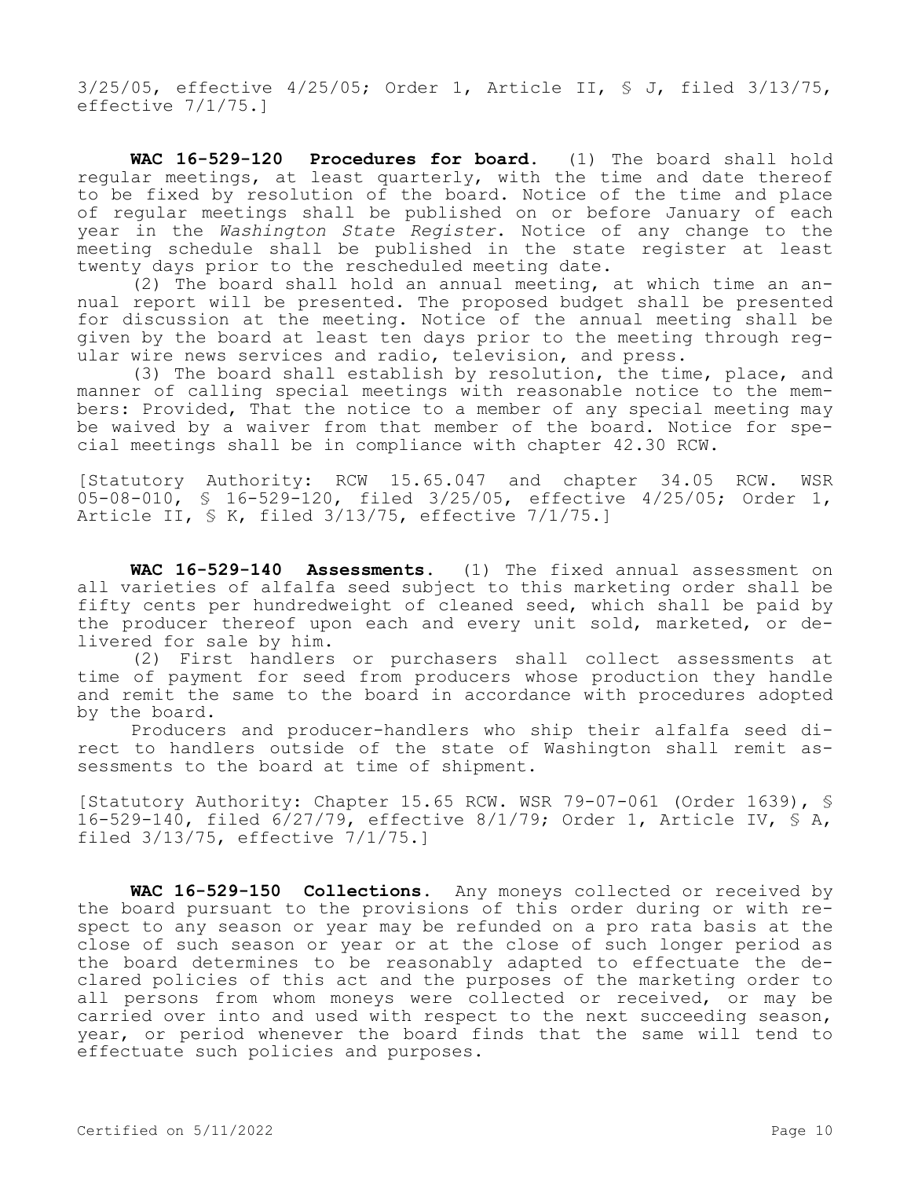3/25/05, effective 4/25/05; Order 1, Article II, § J, filed 3/13/75, effective 7/1/75.]

**WAC 16-529-120 Procedures for board.** (1) The board shall hold regular meetings, at least quarterly, with the time and date thereof to be fixed by resolution of the board. Notice of the time and place of regular meetings shall be published on or before January of each year in the *Washington State Register*. Notice of any change to the meeting schedule shall be published in the state register at least twenty days prior to the rescheduled meeting date.

(2) The board shall hold an annual meeting, at which time an annual report will be presented. The proposed budget shall be presented for discussion at the meeting. Notice of the annual meeting shall be given by the board at least ten days prior to the meeting through regular wire news services and radio, television, and press.

(3) The board shall establish by resolution, the time, place, and manner of calling special meetings with reasonable notice to the members: Provided, That the notice to a member of any special meeting may be waived by a waiver from that member of the board. Notice for special meetings shall be in compliance with chapter 42.30 RCW.

[Statutory Authority: RCW 15.65.047 and chapter 34.05 RCW. WSR 05-08-010, § 16-529-120, filed 3/25/05, effective 4/25/05; Order 1, Article II, § K, filed 3/13/75, effective 7/1/75.]

**WAC 16-529-140 Assessments.** (1) The fixed annual assessment on all varieties of alfalfa seed subject to this marketing order shall be fifty cents per hundredweight of cleaned seed, which shall be paid by the producer thereof upon each and every unit sold, marketed, or delivered for sale by him.

(2) First handlers or purchasers shall collect assessments at time of payment for seed from producers whose production they handle and remit the same to the board in accordance with procedures adopted by the board.

Producers and producer-handlers who ship their alfalfa seed direct to handlers outside of the state of Washington shall remit assessments to the board at time of shipment.

[Statutory Authority: Chapter 15.65 RCW. WSR 79-07-061 (Order 1639), § 16-529-140, filed 6/27/79, effective 8/1/79; Order 1, Article IV, § A, filed 3/13/75, effective 7/1/75.]

**WAC 16-529-150 Collections.** Any moneys collected or received by the board pursuant to the provisions of this order during or with respect to any season or year may be refunded on a pro rata basis at the close of such season or year or at the close of such longer period as the board determines to be reasonably adapted to effectuate the declared policies of this act and the purposes of the marketing order to all persons from whom moneys were collected or received, or may be carried over into and used with respect to the next succeeding season, year, or period whenever the board finds that the same will tend to effectuate such policies and purposes.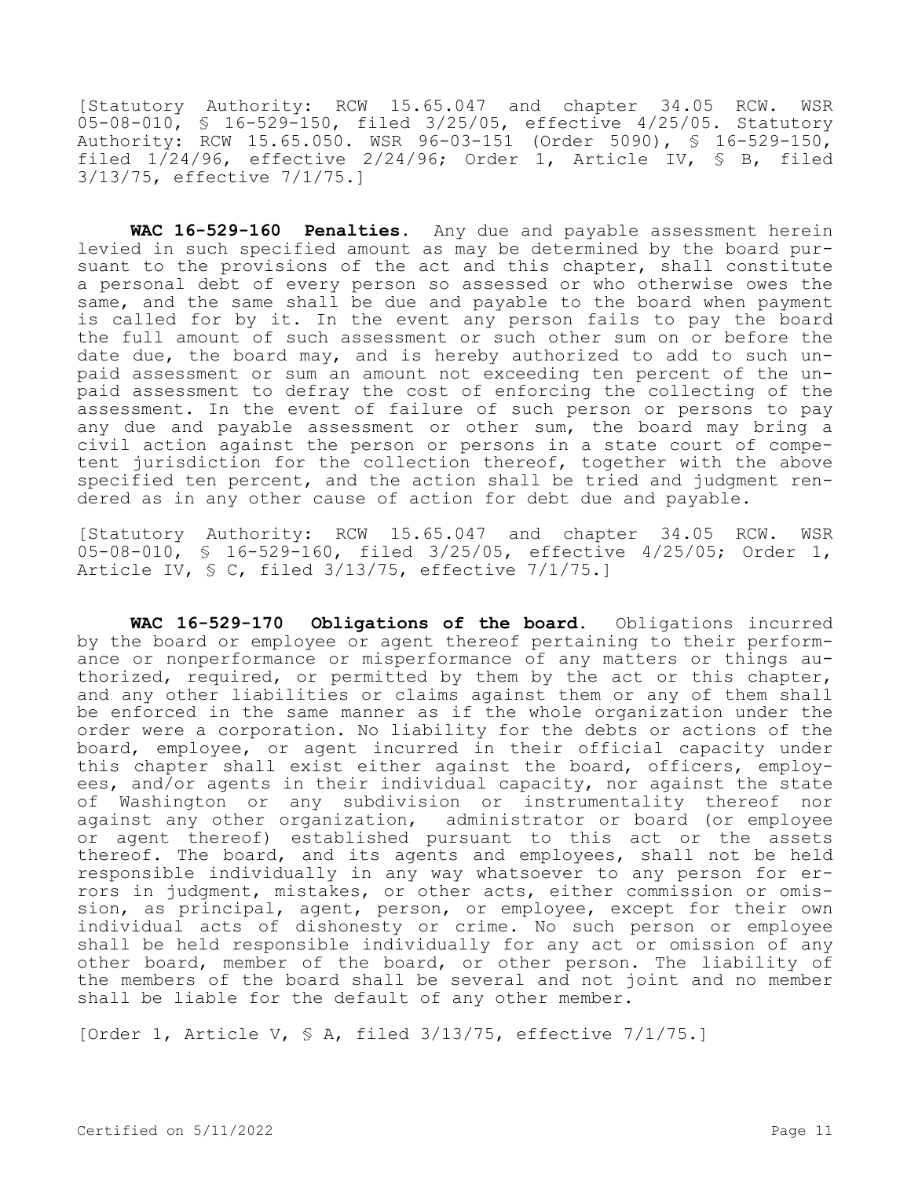[Statutory Authority: RCW 15.65.047 and chapter 34.05 RCW. WSR 05-08-010, § 16-529-150, filed 3/25/05, effective 4/25/05. Statutory Authority: RCW 15.65.050. WSR 96-03-151 (Order 5090), § 16-529-150, filed  $1/24/96$ , effective  $2/24/96$ ; Order 1, Article IV, § B, filed 3/13/75, effective 7/1/75.]

**WAC 16-529-160 Penalties.** Any due and payable assessment herein levied in such specified amount as may be determined by the board pursuant to the provisions of the act and this chapter, shall constitute a personal debt of every person so assessed or who otherwise owes the same, and the same shall be due and payable to the board when payment is called for by it. In the event any person fails to pay the board the full amount of such assessment or such other sum on or before the date due, the board may, and is hereby authorized to add to such unpaid assessment or sum an amount not exceeding ten percent of the unpaid assessment to defray the cost of enforcing the collecting of the assessment. In the event of failure of such person or persons to pay any due and payable assessment or other sum, the board may bring a civil action against the person or persons in a state court of competent jurisdiction for the collection thereof, together with the above specified ten percent, and the action shall be tried and judgment rendered as in any other cause of action for debt due and payable.

[Statutory Authority: RCW 15.65.047 and chapter 34.05 RCW. WSR 05-08-010, § 16-529-160, filed 3/25/05, effective 4/25/05; Order 1, Article IV, § C, filed 3/13/75, effective 7/1/75.]

**WAC 16-529-170 Obligations of the board.** Obligations incurred by the board or employee or agent thereof pertaining to their performance or nonperformance or misperformance of any matters or things authorized, required, or permitted by them by the act or this chapter, and any other liabilities or claims against them or any of them shall be enforced in the same manner as if the whole organization under the order were a corporation. No liability for the debts or actions of the board, employee, or agent incurred in their official capacity under this chapter shall exist either against the board, officers, employees, and/or agents in their individual capacity, nor against the state of Washington or any subdivision or instrumentality thereof nor against any other organization, administrator or board (or employee or agent thereof) established pursuant to this act or the assets thereof. The board, and its agents and employees, shall not be held responsible individually in any way whatsoever to any person for errors in judgment, mistakes, or other acts, either commission or omission, as principal, agent, person, or employee, except for their own individual acts of dishonesty or crime. No such person or employee shall be held responsible individually for any act or omission of any other board, member of the board, or other person. The liability of the members of the board shall be several and not joint and no member shall be liable for the default of any other member.

[Order 1, Article V, § A, filed 3/13/75, effective 7/1/75.]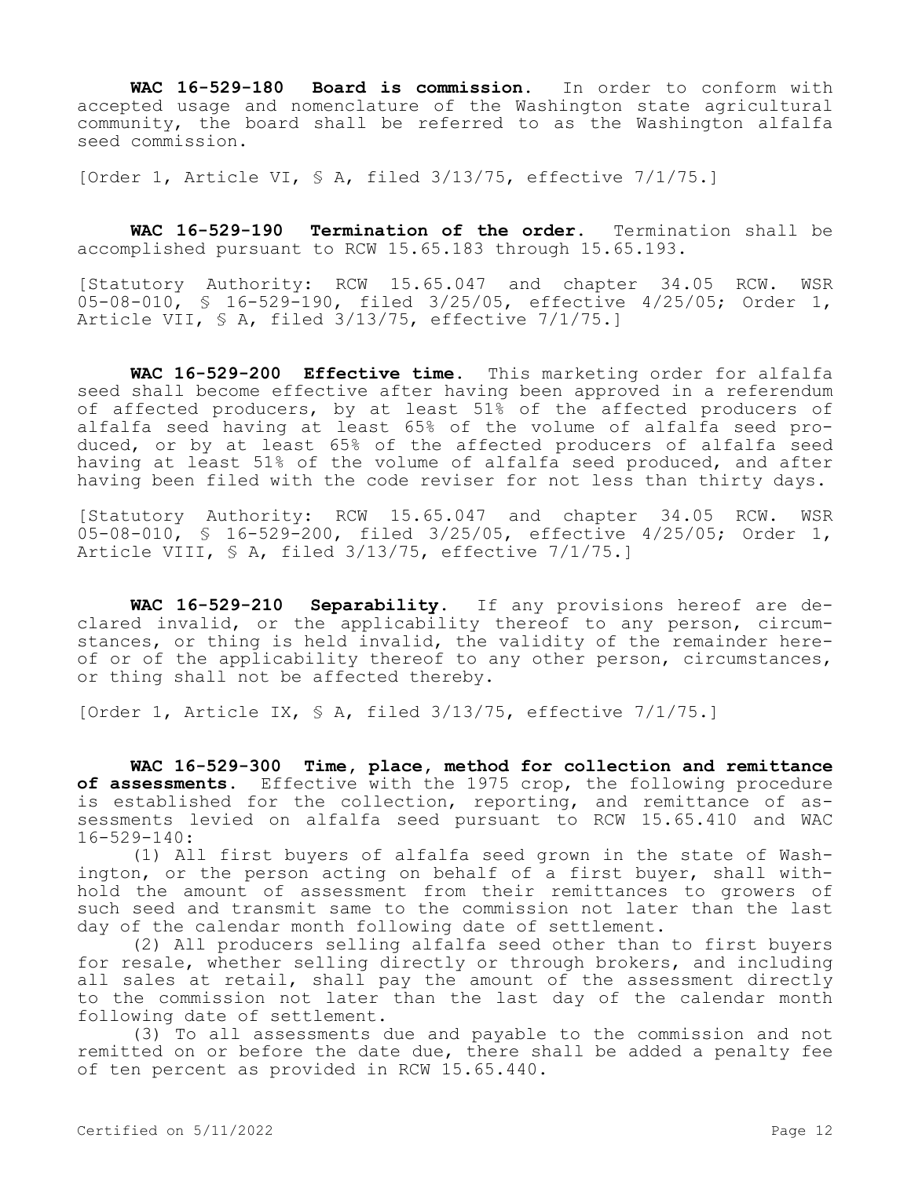**WAC 16-529-180 Board is commission.** In order to conform with accepted usage and nomenclature of the Washington state agricultural community, the board shall be referred to as the Washington alfalfa seed commission.

[Order 1, Article VI, § A, filed 3/13/75, effective 7/1/75.]

**WAC 16-529-190 Termination of the order.** Termination shall be accomplished pursuant to RCW 15.65.183 through 15.65.193.

[Statutory Authority: RCW 15.65.047 and chapter 34.05 RCW. WSR 05-08-010, § 16-529-190, filed 3/25/05, effective 4/25/05; Order 1, Article VII, § A, filed 3/13/75, effective 7/1/75.]

**WAC 16-529-200 Effective time.** This marketing order for alfalfa seed shall become effective after having been approved in a referendum of affected producers, by at least 51% of the affected producers of alfalfa seed having at least 65% of the volume of alfalfa seed produced, or by at least 65% of the affected producers of alfalfa seed having at least 51% of the volume of alfalfa seed produced, and after having been filed with the code reviser for not less than thirty days.

[Statutory Authority: RCW 15.65.047 and chapter 34.05 RCW. WSR 05-08-010, § 16-529-200, filed 3/25/05, effective 4/25/05; Order 1, Article VIII, § A, filed 3/13/75, effective 7/1/75.]

**WAC 16-529-210 Separability.** If any provisions hereof are declared invalid, or the applicability thereof to any person, circumstances, or thing is held invalid, the validity of the remainder hereof or of the applicability thereof to any other person, circumstances, or thing shall not be affected thereby.

[Order 1, Article IX, § A, filed 3/13/75, effective 7/1/75.]

**WAC 16-529-300 Time, place, method for collection and remittance of assessments.** Effective with the 1975 crop, the following procedure is established for the collection, reporting, and remittance of assessments levied on alfalfa seed pursuant to RCW 15.65.410 and WAC 16-529-140:

(1) All first buyers of alfalfa seed grown in the state of Washington, or the person acting on behalf of a first buyer, shall withhold the amount of assessment from their remittances to growers of such seed and transmit same to the commission not later than the last day of the calendar month following date of settlement.

(2) All producers selling alfalfa seed other than to first buyers for resale, whether selling directly or through brokers, and including all sales at retail, shall pay the amount of the assessment directly to the commission not later than the last day of the calendar month following date of settlement.

(3) To all assessments due and payable to the commission and not remitted on or before the date due, there shall be added a penalty fee of ten percent as provided in RCW 15.65.440.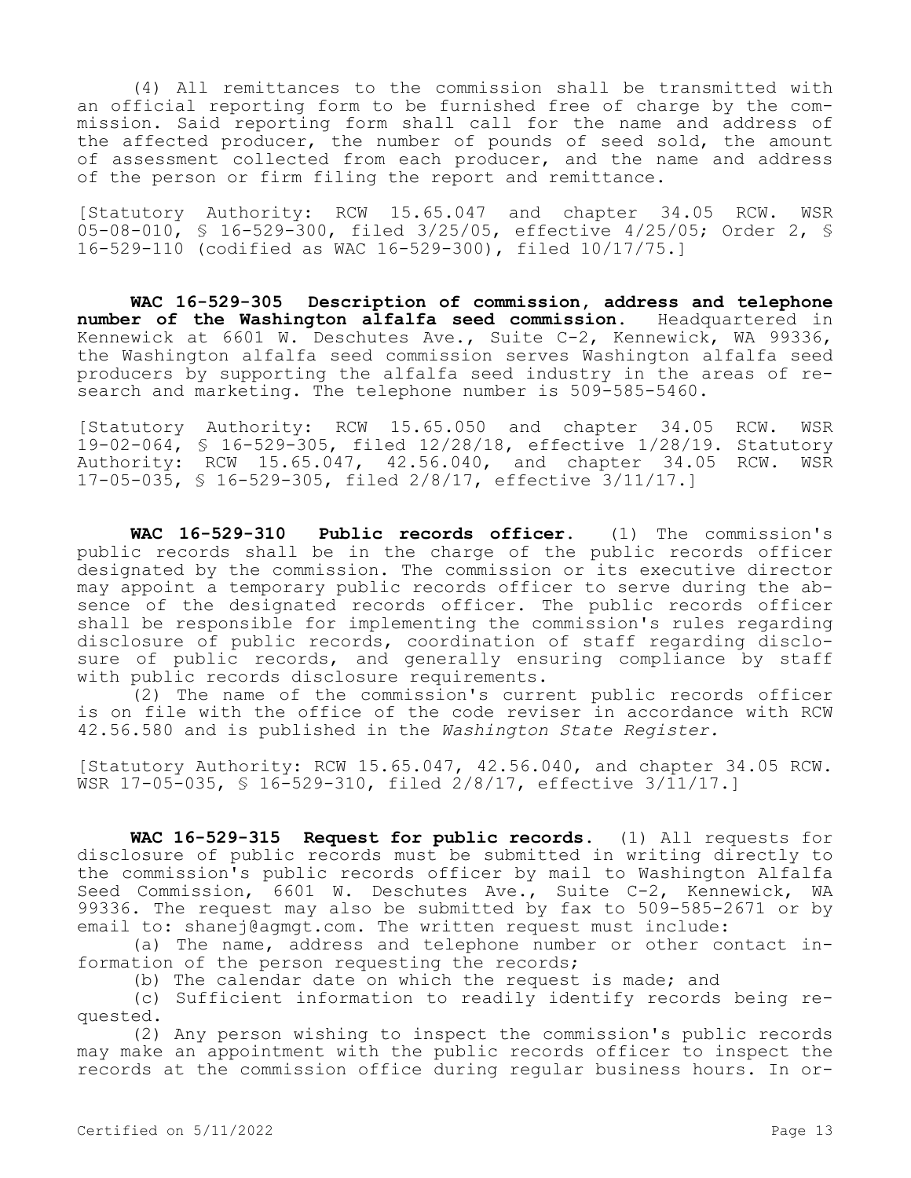(4) All remittances to the commission shall be transmitted with an official reporting form to be furnished free of charge by the commission. Said reporting form shall call for the name and address of the affected producer, the number of pounds of seed sold, the amount of assessment collected from each producer, and the name and address of the person or firm filing the report and remittance.

[Statutory Authority: RCW 15.65.047 and chapter 34.05 RCW. WSR 05-08-010, § 16-529-300, filed 3/25/05, effective 4/25/05; Order 2, § 16-529-110 (codified as WAC 16-529-300), filed 10/17/75.]

**WAC 16-529-305 Description of commission, address and telephone number of the Washington alfalfa seed commission.** Headquartered in Kennewick at 6601 W. Deschutes Ave., Suite C-2, Kennewick, WA 99336, the Washington alfalfa seed commission serves Washington alfalfa seed producers by supporting the alfalfa seed industry in the areas of research and marketing. The telephone number is 509-585-5460.

[Statutory Authority: RCW 15.65.050 and chapter 34.05 RCW. WSR 19-02-064, § 16-529-305, filed 12/28/18, effective 1/28/19. Statutory Authority: RCW 15.65.047, 42.56.040, and chapter 34.05 RCW. WSR 17-05-035, § 16-529-305, filed 2/8/17, effective 3/11/17.]

**WAC 16-529-310 Public records officer.** (1) The commission's public records shall be in the charge of the public records officer designated by the commission. The commission or its executive director may appoint a temporary public records officer to serve during the absence of the designated records officer. The public records officer shall be responsible for implementing the commission's rules regarding disclosure of public records, coordination of staff regarding disclosure of public records, and generally ensuring compliance by staff with public records disclosure requirements.

(2) The name of the commission's current public records officer is on file with the office of the code reviser in accordance with RCW 42.56.580 and is published in the *Washington State Register.*

[Statutory Authority: RCW 15.65.047, 42.56.040, and chapter 34.05 RCW. WSR 17-05-035, § 16-529-310, filed 2/8/17, effective 3/11/17.]

**WAC 16-529-315 Request for public records.** (1) All requests for disclosure of public records must be submitted in writing directly to the commission's public records officer by mail to Washington Alfalfa Seed Commission, 6601 W. Deschutes Ave., Suite C-2, Kennewick, WA 99336. The request may also be submitted by fax to 509-585-2671 or by email to: shanej@agmgt.com. The written request must include:

(a) The name, address and telephone number or other contact information of the person requesting the records;

(b) The calendar date on which the request is made; and

(c) Sufficient information to readily identify records being requested.

(2) Any person wishing to inspect the commission's public records may make an appointment with the public records officer to inspect the records at the commission office during regular business hours. In or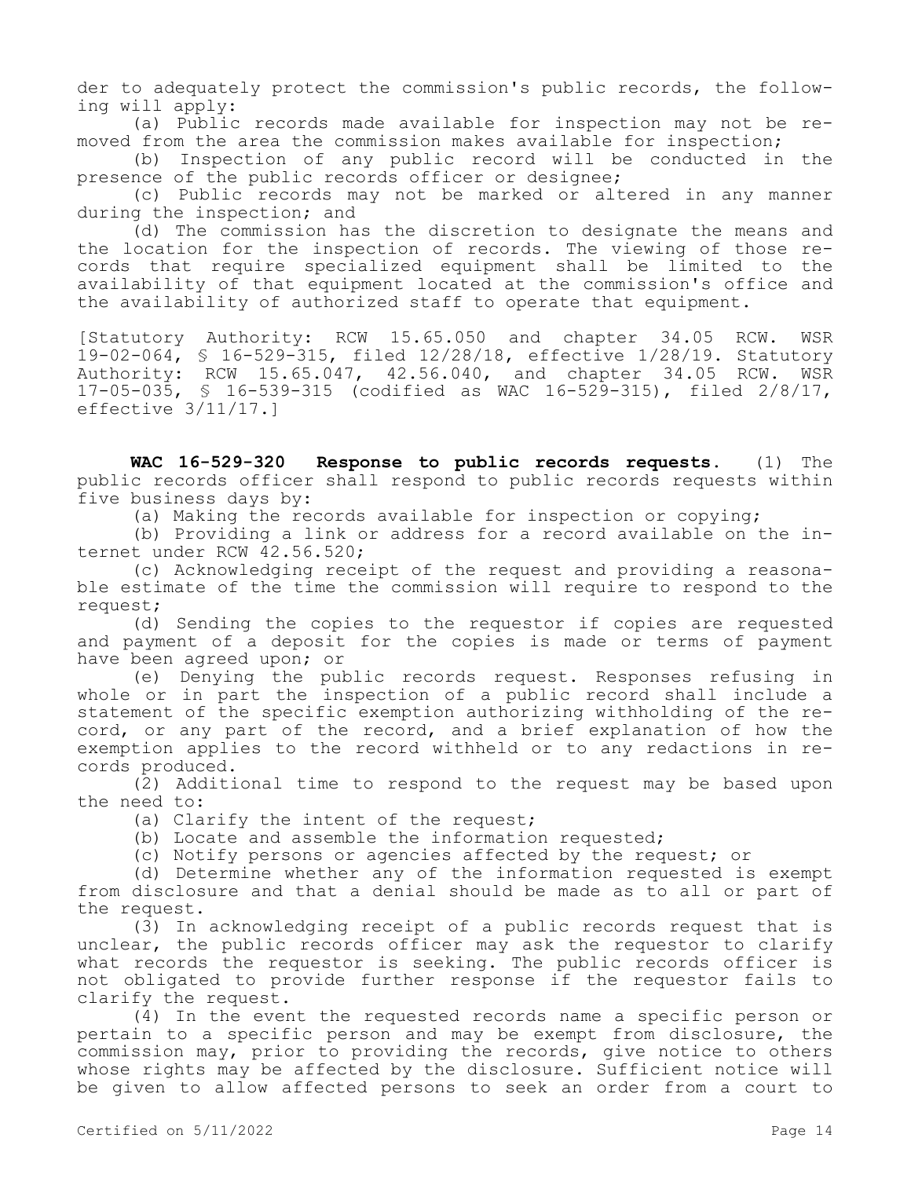der to adequately protect the commission's public records, the following will apply:

(a) Public records made available for inspection may not be removed from the area the commission makes available for inspection;

(b) Inspection of any public record will be conducted in the presence of the public records officer or designee;

(c) Public records may not be marked or altered in any manner during the inspection; and

(d) The commission has the discretion to designate the means and the location for the inspection of records. The viewing of those records that require specialized equipment shall be limited to the availability of that equipment located at the commission's office and the availability of authorized staff to operate that equipment.

[Statutory Authority: RCW 15.65.050 and chapter 34.05 RCW. WSR 19-02-064, § 16-529-315, filed 12/28/18, effective 1/28/19. Statutory Authority: RCW 15.65.047, 42.56.040, and chapter 34.05 RCW. WSR 17-05-035, § 16-539-315 (codified as WAC 16-529-315), filed 2/8/17, effective 3/11/17.]

**WAC 16-529-320 Response to public records requests.** (1) The public records officer shall respond to public records requests within five business days by:

(a) Making the records available for inspection or copying;

(b) Providing a link or address for a record available on the internet under RCW 42.56.520;

(c) Acknowledging receipt of the request and providing a reasonable estimate of the time the commission will require to respond to the request;

(d) Sending the copies to the requestor if copies are requested and payment of a deposit for the copies is made or terms of payment have been agreed upon; or

(e) Denying the public records request. Responses refusing in whole or in part the inspection of a public record shall include a statement of the specific exemption authorizing withholding of the record, or any part of the record, and a brief explanation of how the exemption applies to the record withheld or to any redactions in records produced.

(2) Additional time to respond to the request may be based upon the need to:

(a) Clarify the intent of the request;

(b) Locate and assemble the information requested;

(c) Notify persons or agencies affected by the request; or

(d) Determine whether any of the information requested is exempt from disclosure and that a denial should be made as to all or part of the request.

(3) In acknowledging receipt of a public records request that is unclear, the public records officer may ask the requestor to clarify what records the requestor is seeking. The public records officer is not obligated to provide further response if the requestor fails to clarify the request.

(4) In the event the requested records name a specific person or pertain to a specific person and may be exempt from disclosure, the commission may, prior to providing the records, give notice to others whose rights may be affected by the disclosure. Sufficient notice will be given to allow affected persons to seek an order from a court to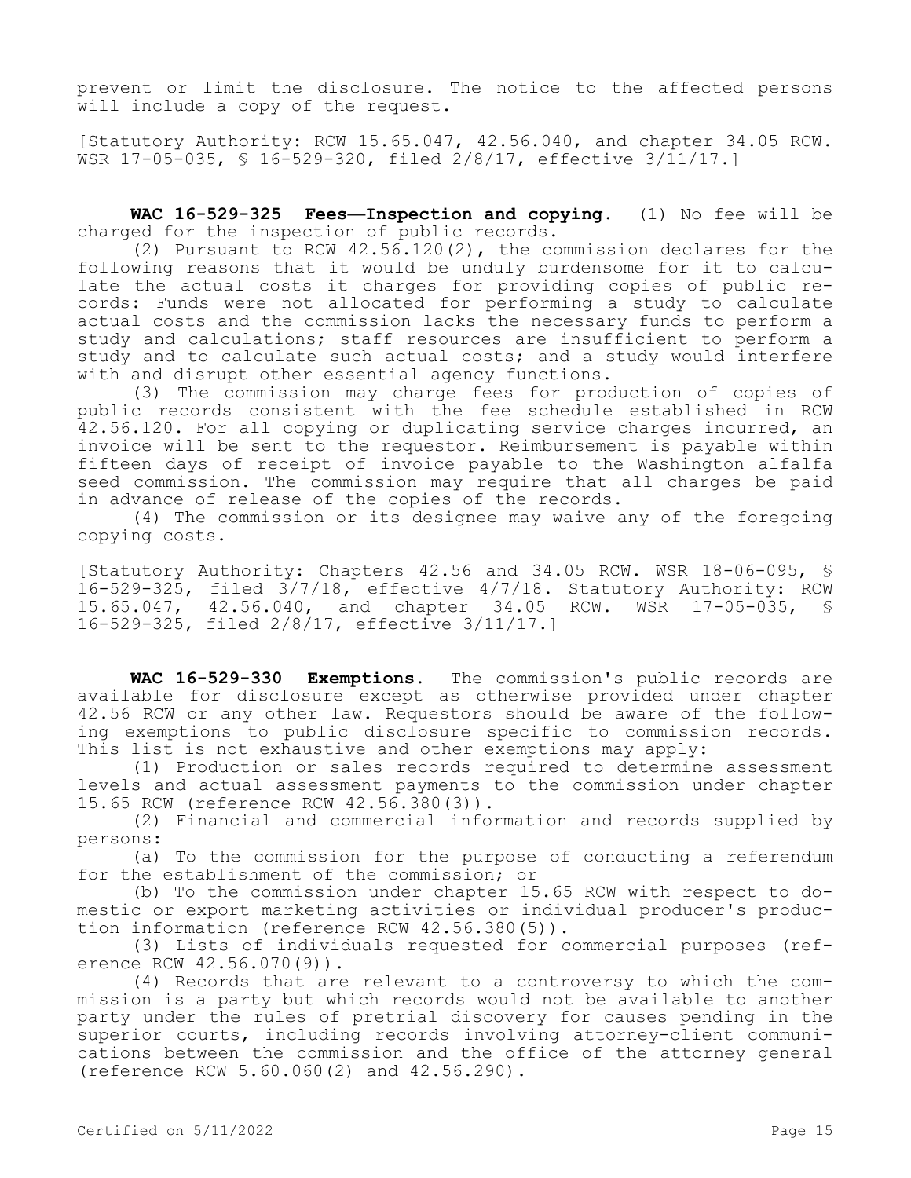prevent or limit the disclosure. The notice to the affected persons will include a copy of the request.

[Statutory Authority: RCW 15.65.047, 42.56.040, and chapter 34.05 RCW. WSR 17-05-035, § 16-529-320, filed 2/8/17, effective 3/11/17.]

**WAC 16-529-325 Fees—Inspection and copying.** (1) No fee will be charged for the inspection of public records.

(2) Pursuant to RCW 42.56.120(2), the commission declares for the following reasons that it would be unduly burdensome for it to calculate the actual costs it charges for providing copies of public records: Funds were not allocated for performing a study to calculate actual costs and the commission lacks the necessary funds to perform a study and calculations; staff resources are insufficient to perform a study and to calculate such actual costs; and a study would interfere with and disrupt other essential agency functions.

(3) The commission may charge fees for production of copies of public records consistent with the fee schedule established in RCW 42.56.120. For all copying or duplicating service charges incurred, an invoice will be sent to the requestor. Reimbursement is payable within fifteen days of receipt of invoice payable to the Washington alfalfa seed commission. The commission may require that all charges be paid in advance of release of the copies of the records.

(4) The commission or its designee may waive any of the foregoing copying costs.

[Statutory Authority: Chapters 42.56 and 34.05 RCW. WSR 18-06-095, § 16-529-325, filed 3/7/18, effective 4/7/18. Statutory Authority: RCW 15.65.047, 42.56.040, and chapter 34.05 RCW. WSR 17-05-035, § 16-529-325, filed 2/8/17, effective 3/11/17.]

**WAC 16-529-330 Exemptions.** The commission's public records are available for disclosure except as otherwise provided under chapter 42.56 RCW or any other law. Requestors should be aware of the following exemptions to public disclosure specific to commission records. This list is not exhaustive and other exemptions may apply:

(1) Production or sales records required to determine assessment levels and actual assessment payments to the commission under chapter 15.65 RCW (reference RCW 42.56.380(3)).

(2) Financial and commercial information and records supplied by persons:

(a) To the commission for the purpose of conducting a referendum for the establishment of the commission; or

(b) To the commission under chapter 15.65 RCW with respect to domestic or export marketing activities or individual producer's production information (reference RCW 42.56.380(5)).

(3) Lists of individuals requested for commercial purposes (reference RCW 42.56.070(9)).

(4) Records that are relevant to a controversy to which the commission is a party but which records would not be available to another party under the rules of pretrial discovery for causes pending in the superior courts, including records involving attorney-client communications between the commission and the office of the attorney general (reference RCW 5.60.060(2) and 42.56.290).